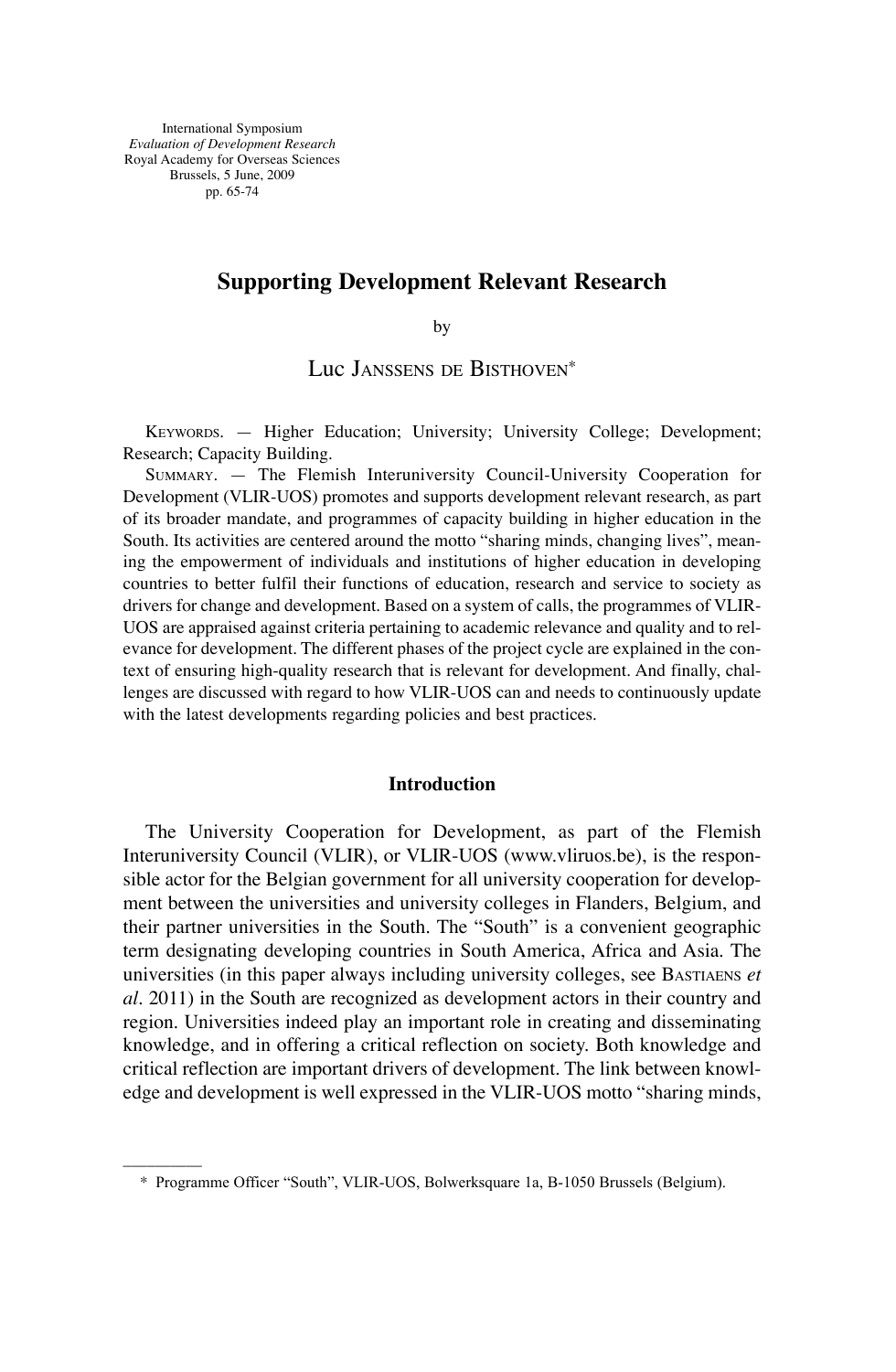International Symposium *Evaluation of Development Research* Royal Academy for Overseas Sciences Brussels, 5 June, 2009 pp. 65-74

––––––––––

# **Supporting Development Relevant Research**

by

Luc JANSSENS DE BISTHOVEN<sup>\*</sup>

KEYWORDS. - Higher Education; University; University College; Development; Research; Capacity Building.

SUMMARY. — The Flemish Interuniversity Council-University Cooperation for Development (VLIR-UOS) promotes and supports development relevant research, as part of its broader mandate, and programmes of capacity building in higher education in the South. Its activities are centered around the motto "sharing minds, changing lives", meaning the empowerment of individuals and institutions of higher education in developing countries to better fulfil their functions of education, research and service to society as drivers for change and development. Based on a system of calls, the programmes of vLIR-UOS are appraised against criteria pertaining to academic relevance and quality and to relevance for development. the different phases of the project cycle are explained in the context of ensuring high-quality research that is relevant for development. And finally, challenges are discussed with regard to how vLIR-UOS can and needs to continuously update with the latest developments regarding policies and best practices.

### **Introduction**

The University Cooperation for Development, as part of the Flemish Interuniversity Council (vLIR), or vLIR-UOS (www.vliruos.be), is the responsible actor for the Belgian government for all university cooperation for development between the universities and university colleges in Flanders, Belgium, and their partner universities in the South. The "South" is a convenient geographic term designating developing countries in South America, Africa and Asia. The universities (in this paper always including university colleges, see BASTIAENS *et al.* 2011) in the South are recognized as development actors in their country and region. Universities indeed play an important role in creating and disseminating knowledge, and in offering a critical reflection on society. Both knowledge and critical reflection are important drivers of development. the link between knowledge and development is well expressed in the vLIR-UOS motto "sharing minds,

<sup>\*</sup> Programme Officer "South", VLIR-UOS, Bolwerksquare 1a, B-1050 Brussels (Belgium).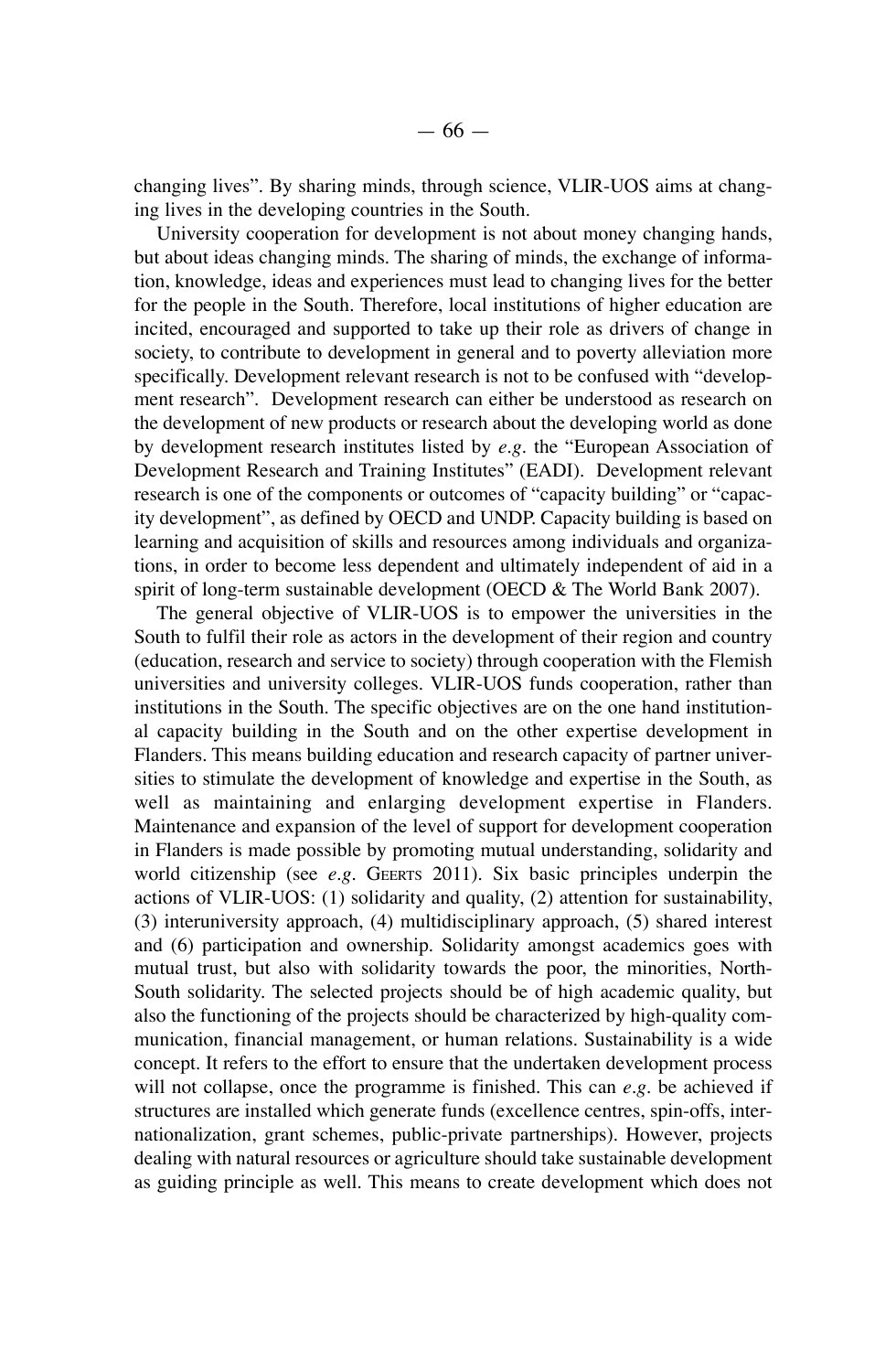changing lives". By sharing minds, through science, vLIR-UOS aims at changing lives in the developing countries in the South.

University cooperation for development is not about money changing hands, but about ideas changing minds. the sharing of minds, the exchange of information, knowledge, ideas and experiences must lead to changing lives for the better for the people in the South. Therefore, local institutions of higher education are incited, encouraged and supported to take up their role as drivers of change in society, to contribute to development in general and to poverty alleviation more specifically. Development relevant research is not to be confused with "development research". Development research can either be understood as research on the development of new products or research about the developing world as done by development research institutes listed by  $e.g.$  the "European Association of Development Research and Training Institutes" (EADI). Development relevant research is one of the components or outcomes of "capacity building" or "capacity development", as defined by OECD and UNDP. Capacity building is based on learning and acquisition of skills and resources among individuals and organizations, in order to become less dependent and ultimately independent of aid in a spirit of long-term sustainable development (OECD  $&$  The World Bank 2007).

the general objective of vLIR-UOS is to empower the universities in the South to fulfil their role as actors in the development of their region and country (education, research and service to society) through cooperation with the Flemish universities and university colleges. vLIR-UOS funds cooperation, rather than institutions in the South. The specific objectives are on the one hand institutional capacity building in the South and on the other expertise development in Flanders. This means building education and research capacity of partner universities to stimulate the development of knowledge and expertise in the South, as well as maintaining and enlarging development expertise in Flanders. maintenance and expansion of the level of support for development cooperation in Flanders is made possible by promoting mutual understanding, solidarity and world citizenship (see *e.g.* GEERTS 2011). Six basic principles underpin the actions of vLIR-UOS: (1) solidarity and quality, (2) attention for sustainability, (3) interuniversity approach, (4) multidisciplinary approach, (5) shared interest and (6) participation and ownership. Solidarity amongst academics goes with mutual trust, but also with solidarity towards the poor, the minorities, north-South solidarity. The selected projects should be of high academic quality, but also the functioning of the projects should be characterized by high-quality communication, financial management, or human relations. Sustainability is a wide concept. It refers to the effort to ensure that the undertaken development process will not collapse, once the programme is finished. This can *e.g.* be achieved if structures are installed which generate funds (excellence centres, spin-offs, internationalization, grant schemes, public-private partnerships). However, projects dealing with natural resources or agriculture should take sustainable development as guiding principle as well. This means to create development which does not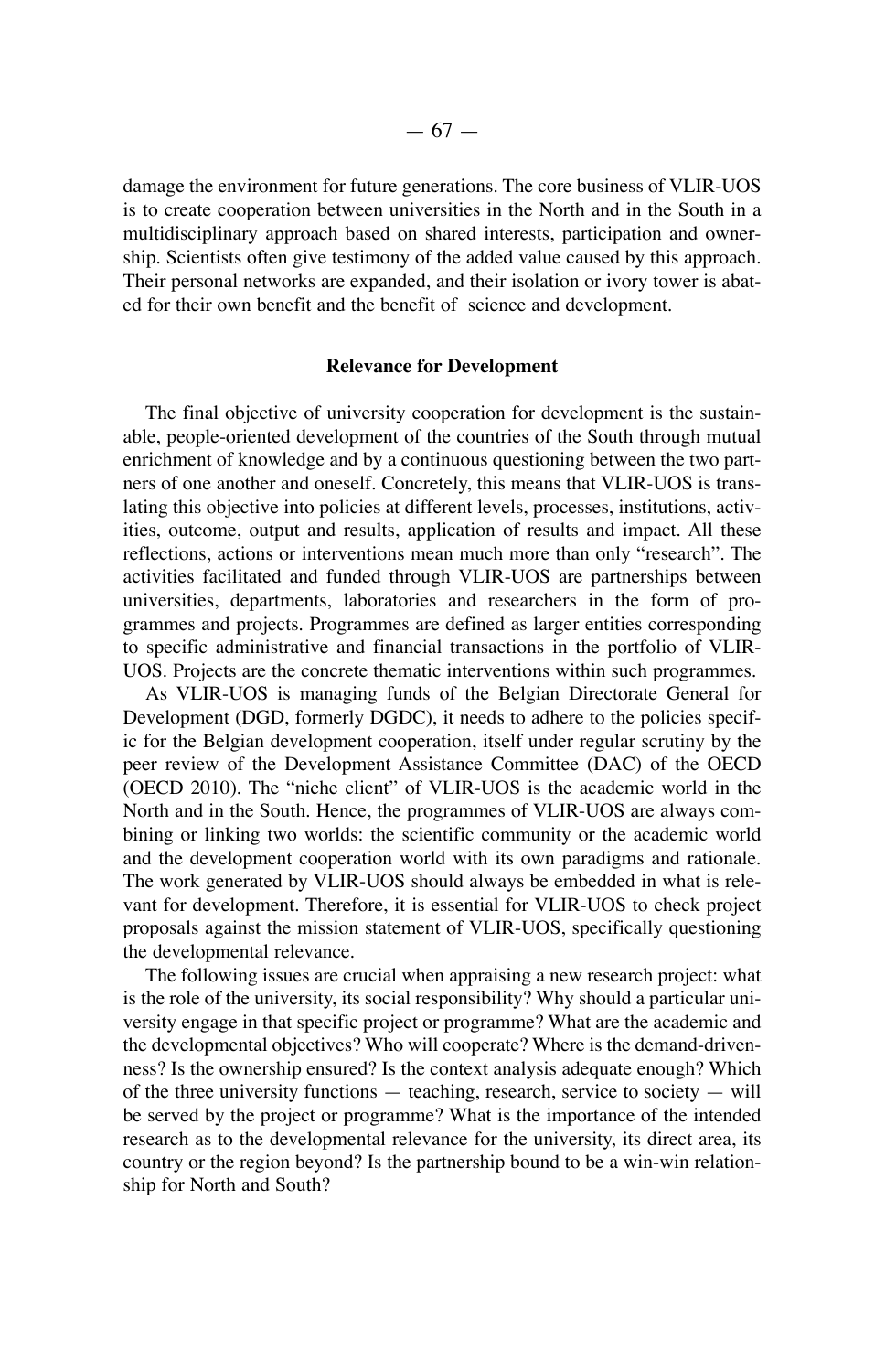damage the environment for future generations. the core business of vLIR-UOS is to create cooperation between universities in the North and in the South in a multidisciplinary approach based on shared interests, participation and ownership. Scientists often give testimony of the added value caused by this approach. Their personal networks are expanded, and their isolation or ivory tower is abated for their own benefit and the benefit of science and development.

# **Relevance for Development**

The final objective of university cooperation for development is the sustainable, people-oriented development of the countries of the South through mutual enrichment of knowledge and by a continuous questioning between the two partners of one another and oneself. Concretely, this means that vLIR-UOS is translating this objective into policies at different levels, processes, institutions, activities, outcome, output and results, application of results and impact. All these reflections, actions or interventions mean much more than only "research". the activities facilitated and funded through vLIR-UOS are partnerships between universities, departments, laboratories and researchers in the form of programmes and projects. Programmes are defined as larger entities corresponding to specific administrative and financial transactions in the portfolio of vLIR-UOS. Projects are the concrete thematic interventions within such programmes.

As VLIR-UOS is managing funds of the Belgian Directorate General for Development (DGD, formerly DGDC), it needs to adhere to the policies specific for the Belgian development cooperation, itself under regular scrutiny by the peer review of the Development Assistance Committee (DAC) of the OECD (OECD 2010). The "niche client" of VLIR-UOS is the academic world in the North and in the South. Hence, the programmes of VLIR-UOS are always combining or linking two worlds: the scientific community or the academic world and the development cooperation world with its own paradigms and rationale. The work generated by VLIR-UOS should always be embedded in what is relevant for development. Therefore, it is essential for VLIR-UOS to check project proposals against the mission statement of vLIR-UOS, specifically questioning the developmental relevance.

The following issues are crucial when appraising a new research project: what is the role of the university, its social responsibility? why should a particular university engage in that specific project or programme? what are the academic and the developmental objectives? who will cooperate? where is the demand-drivenness? Is the ownership ensured? Is the context analysis adequate enough? which of the three university functions  $-$  teaching, research, service to society  $-$  will be served by the project or programme? what is the importance of the intended research as to the developmental relevance for the university, its direct area, its country or the region beyond? Is the partnership bound to be a win-win relationship for North and South?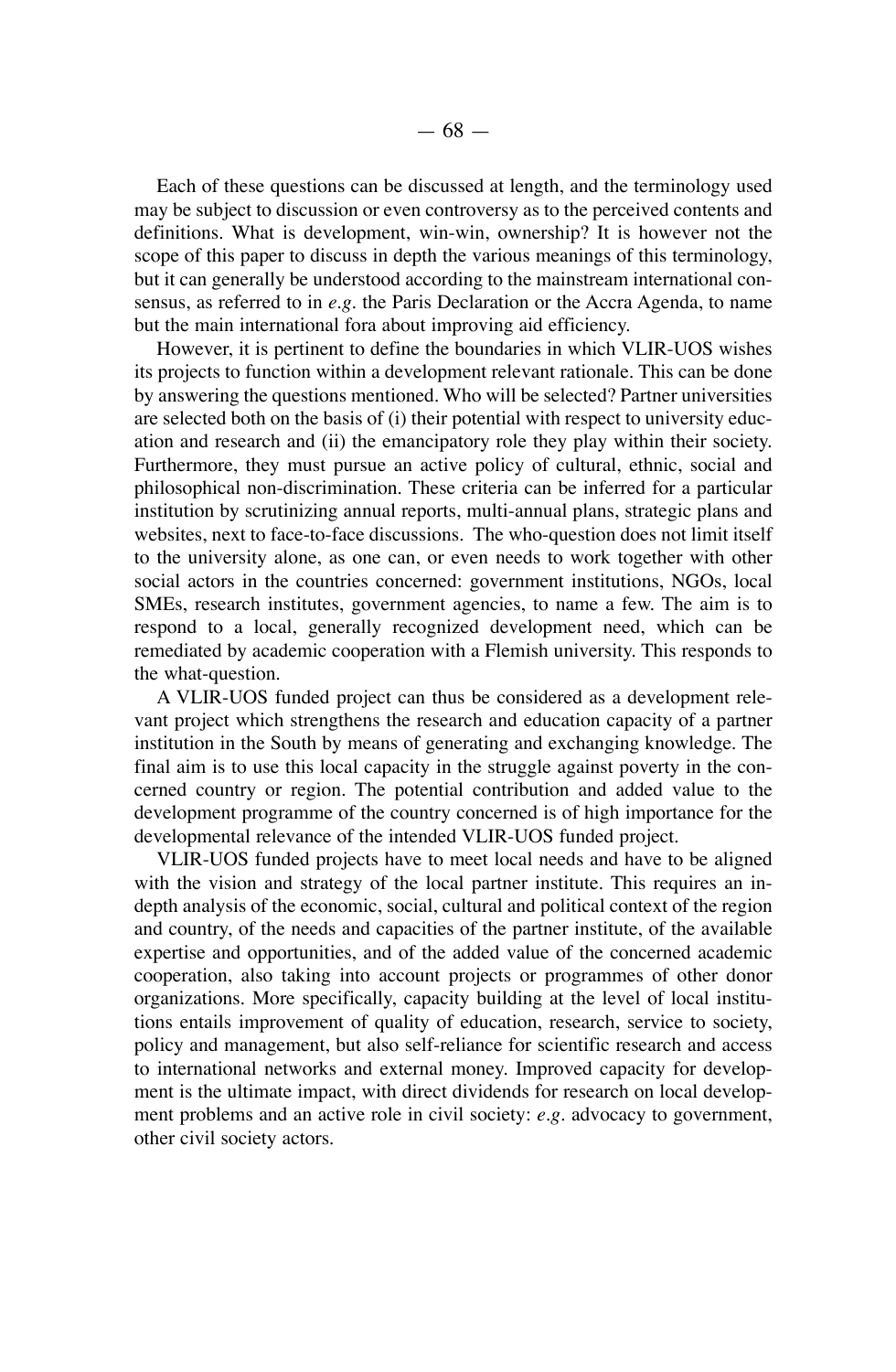Each of these questions can be discussed at length, and the terminology used may be subject to discussion or even controversy as to the perceived contents and definitions. what is development, win-win, ownership? It is however not the scope of this paper to discuss in depth the various meanings of this terminology, but it can generally be understood according to the mainstream international consensus, as referred to in e.g. the Paris Declaration or the Accra Agenda, to name but the main international fora about improving aid efficiency.

however, it is pertinent to define the boundaries in which vLIR-UOS wishes its projects to function within a development relevant rationale. This can be done by answering the questions mentioned. who will be selected? Partner universities are selected both on the basis of (i) their potential with respect to university education and research and (ii) the emancipatory role they play within their society. Furthermore, they must pursue an active policy of cultural, ethnic, social and philosophical non-discrimination. these criteria can be inferred for a particular institution by scrutinizing annual reports, multi-annual plans, strategic plans and websites, next to face-to-face discussions. The who-question does not limit itself to the university alone, as one can, or even needs to work together with other social actors in the countries concerned: government institutions, nGOs, local SMEs, research institutes, government agencies, to name a few. The aim is to respond to a local, generally recognized development need, which can be remediated by academic cooperation with a Flemish university. This responds to the what-question.

A vLIR-UOS funded project can thus be considered as a development relevant project which strengthens the research and education capacity of a partner institution in the South by means of generating and exchanging knowledge. the final aim is to use this local capacity in the struggle against poverty in the concerned country or region. The potential contribution and added value to the development programme of the country concerned is of high importance for the developmental relevance of the intended vLIR-UOS funded project.

vLIR-UOS funded projects have to meet local needs and have to be aligned with the vision and strategy of the local partner institute. This requires an indepth analysis of the economic, social, cultural and political context of the region and country, of the needs and capacities of the partner institute, of the available expertise and opportunities, and of the added value of the concerned academic cooperation, also taking into account projects or programmes of other donor organizations. more specifically, capacity building at the level of local institutions entails improvement of quality of education, research, service to society, policy and management, but also self-reliance for scientific research and access to international networks and external money. Improved capacity for development is the ultimate impact, with direct dividends for research on local development problems and an active role in civil society: *e.g.* advocacy to government, other civil society actors.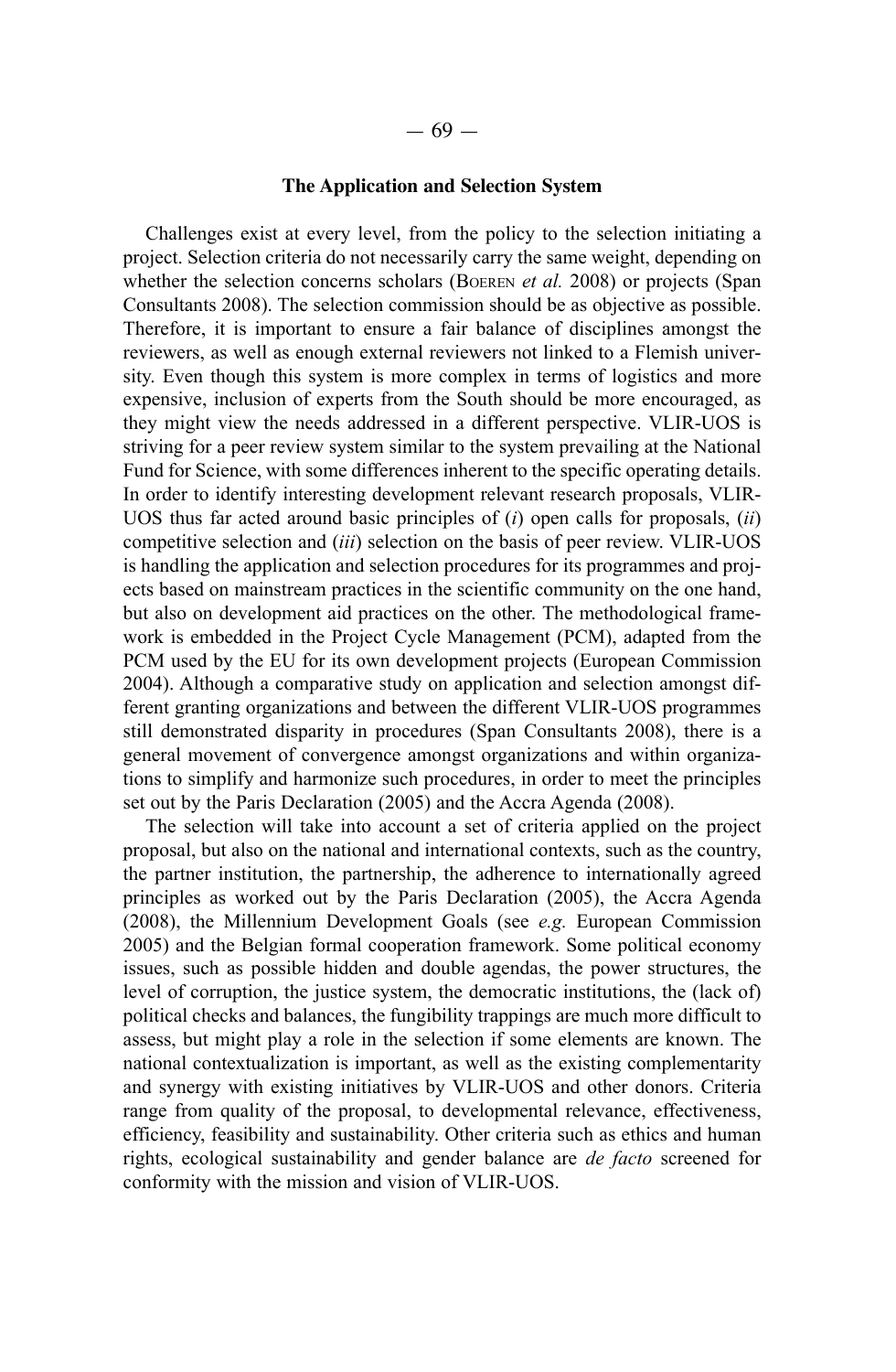# **The Application and Selection System**

Challenges exist at every level, from the policy to the selection initiating a project. Selection criteria do not necessarily carry the same weight, depending on whether the selection concerns scholars (BOEREN *et al.* 2008) or projects (Span Consultants 2008). The selection commission should be as objective as possible. Therefore, it is important to ensure a fair balance of disciplines amongst the reviewers, as well as enough external reviewers not linked to a Flemish university. Even though this system is more complex in terms of logistics and more expensive, inclusion of experts from the South should be more encouraged, as they might view the needs addressed in a different perspective. VLIR-UOS is striving for a peer review system similar to the system prevailing at the National Fund for Science, with some differences inherent to the specific operating details. In order to identify interesting development relevant research proposals, VLIR-UOS thus far acted around basic principles of (*i*) open calls for proposals, (*ii*) competitive selection and (*iii*) selection on the basis of peer review. VLIR-UOS is handling the application and selection procedures for its programmes and projects based on mainstream practices in the scientific community on the one hand, but also on development aid practices on the other. The methodological framework is embedded in the Project Cycle Management (PCM), adapted from the PCM used by the EU for its own development projects (European Commission 2004). Although a comparative study on application and selection amongst different granting organizations and between the different VLIR-UOS programmes still demonstrated disparity in procedures (Span Consultants 2008), there is a general movement of convergence amongst organizations and within organizations to simplify and harmonize such procedures, in order to meet the principles set out by the Paris Declaration (2005) and the Accra Agenda (2008).

The selection will take into account a set of criteria applied on the project proposal, but also on the national and international contexts, such as the country, the partner institution, the partnership, the adherence to internationally agreed principles as worked out by the Paris Declaration (2005), the Accra Agenda (2008), the Millennium Development Goals (see  $e.g.$  European Commission 2005) and the Belgian formal cooperation framework. Some political economy issues, such as possible hidden and double agendas, the power structures, the level of corruption, the justice system, the democratic institutions, the (lack of) political checks and balances, the fungibility trappings are much more difficult to assess, but might play a role in the selection if some elements are known. The national contextualization is important, as well as the existing complementarity and synergy with existing initiatives by VLIR-UOS and other donors. Criteria range from quality of the proposal, to developmental relevance, effectiveness, efficiency, feasibility and sustainability. Other criteria such as ethics and human rights, ecological sustainability and gender balance are *de facto* screened for conformity with the mission and vision of VLIR-UOS.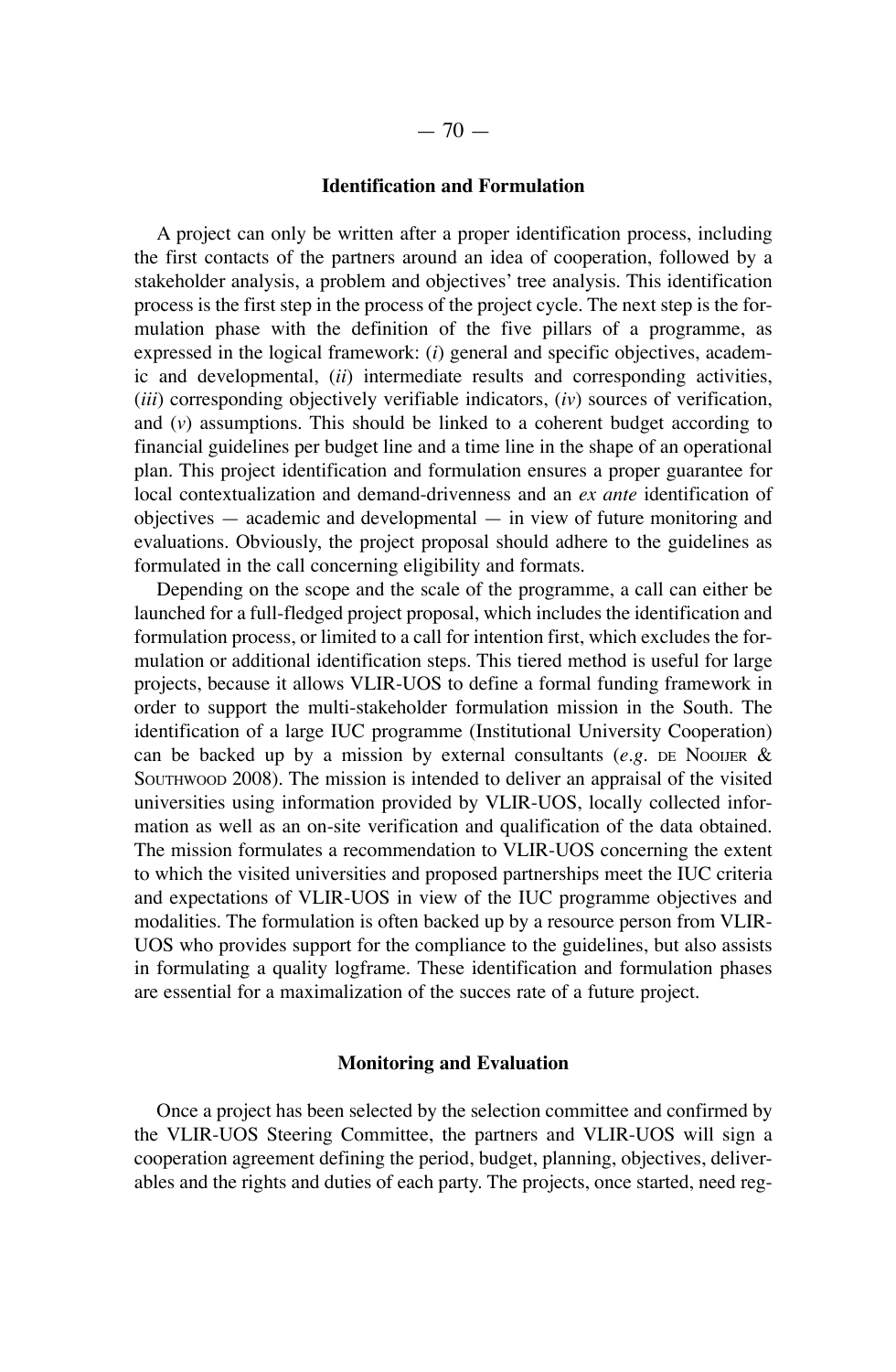# **Identification and Formulation**

A project can only be written after a proper identification process, including the first contacts of the partners around an idea of cooperation, followed by a stakeholder analysis, a problem and objectives' tree analysis. This identification process is the first step in the process of the project cycle. the next step is the formulation phase with the definition of the five pillars of a programme, as expressed in the logical framework: (*i*) general and specific objectives, academic and developmental, (*ii*) intermediate results and corresponding activities, (*iii*) corresponding objectively verifiable indicators, (*iv*) sources of verification, and  $(v)$  assumptions. This should be linked to a coherent budget according to financial guidelines per budget line and a time line in the shape of an operational plan. This project identification and formulation ensures a proper guarantee for local contextualization and demand-drivenness and an *ex ante* identification of objectives — academic and developmental — in view of future monitoring and evaluations. Obviously, the project proposal should adhere to the guidelines as formulated in the call concerning eligibility and formats.

Depending on the scope and the scale of the programme, a call can either be launched for a full-fledged project proposal, which includes the identification and formulation process, or limited to a call for intention first, which excludes the formulation or additional identification steps. This tiered method is useful for large projects, because it allows vLIR-UOS to define a formal funding framework in order to support the multi-stakeholder formulation mission in the South. The identification of a large IUC programme (Institutional University Cooperation) can be backed up by a mission by external consultants  $(e.g., E)$  NooiJer & SOUTHWOOD 2008). The mission is intended to deliver an appraisal of the visited universities using information provided by vLIR-UOS, locally collected information as well as an on-site verification and qualification of the data obtained. The mission formulates a recommendation to VLIR-UOS concerning the extent to which the visited universities and proposed partnerships meet the IUC criteria and expectations of vLIR-UOS in view of the IUC programme objectives and modalities. The formulation is often backed up by a resource person from VLIR-UOS who provides support for the compliance to the guidelines, but also assists in formulating a quality logframe. These identification and formulation phases are essential for a maximalization of the succes rate of a future project.

#### **Monitoring and Evaluation**

Once a project has been selected by the selection committee and confirmed by the vLIR-UOS Steering Committee, the partners and vLIR-UOS will sign a cooperation agreement defining the period, budget, planning, objectives, deliverables and the rights and duties of each party. The projects, once started, need reg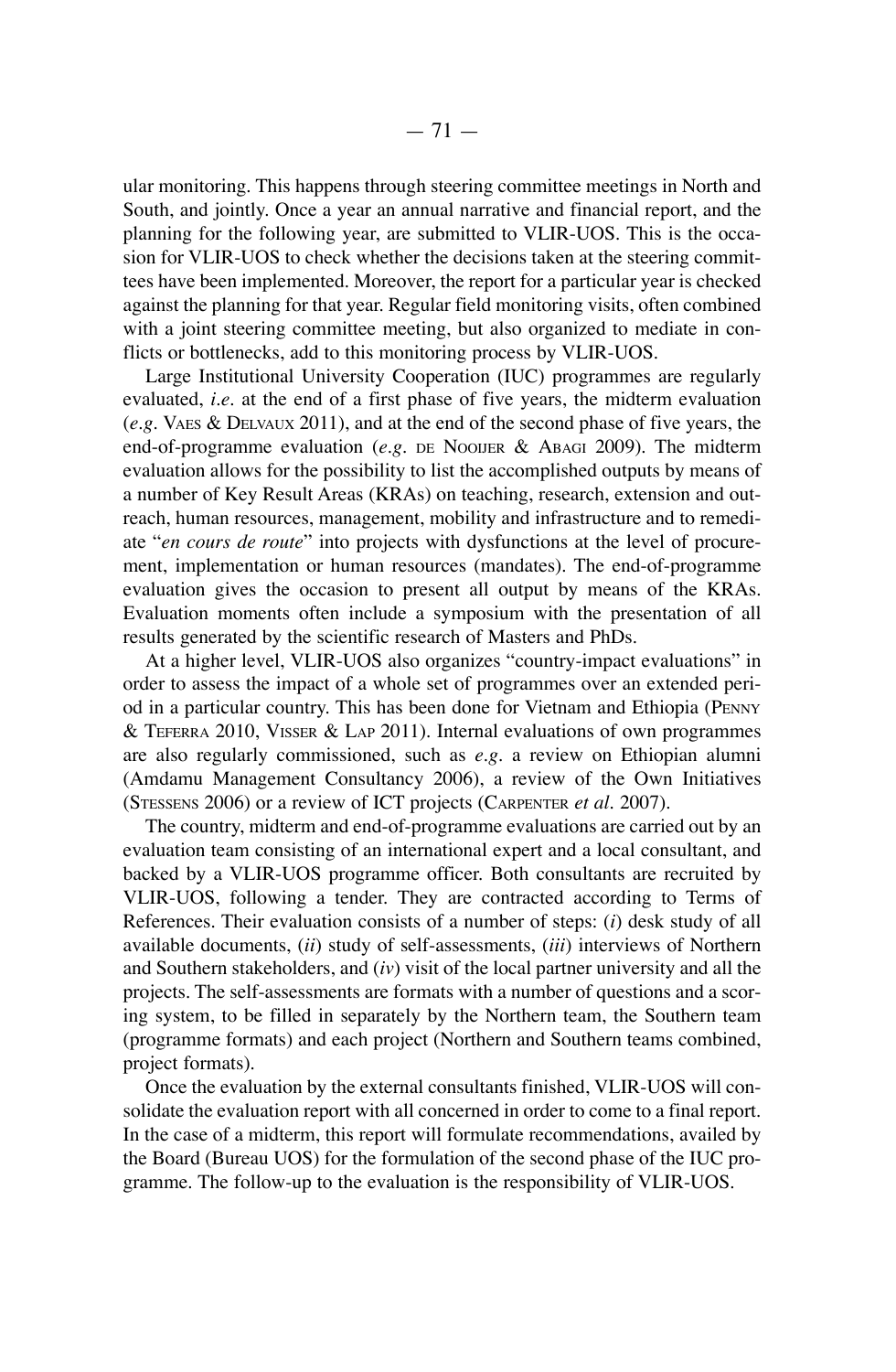ular monitoring. This happens through steering committee meetings in North and South, and jointly. Once a year an annual narrative and financial report, and the planning for the following year, are submitted to VLIR-UOS. This is the occasion for vLIR-UOS to check whether the decisions taken at the steering committees have been implemented. moreover, the report for a particular year is checked against the planning for that year. Regular field monitoring visits, often combined with a joint steering committee meeting, but also organized to mediate in conflicts or bottlenecks, add to this monitoring process by vLIR-UOS.

Large Institutional University Cooperation (IUC) programmes are regularly evaluated, *i.e.* at the end of a first phase of five years, the midterm evaluation  $(e.g.$  VAES  $\&$  DELVAUX 2011), and at the end of the second phase of five years, the end-of-programme evaluation  $(e.g.$  DE NOOIJER  $\&$  ABAGI 2009). The midterm evaluation allows for the possibility to list the accomplished outputs by means of a number of Key Result Areas (KRAs) on teaching, research, extension and outreach, human resources, management, mobility and infrastructure and to remediate "*en cours de route*" into projects with dysfunctions at the level of procurement, implementation or human resources (mandates). The end-of-programme evaluation gives the occasion to present all output by means of the KRAs. Evaluation moments often include a symposium with the presentation of all results generated by the scientific research of Masters and PhDs.

At a higher level, vLIR-UOS also organizes "country-impact evaluations" in order to assess the impact of a whole set of programmes over an extended period in a particular country. This has been done for Vietnam and Ethiopia (PENNY & teFeRRA 2010, vISSeR & LAP 2011). Internal evaluations of own programmes are also regularly commissioned, such as *e.g.* a review on Ethiopian alumni (Amdamu management Consultancy 2006), a review of the Own Initiatives (STESSENS 2006) or a review of ICT projects (CARPENTER *et al.* 2007).

The country, midterm and end-of-programme evaluations are carried out by an evaluation team consisting of an international expert and a local consultant, and backed by a vLIR-UOS programme officer. Both consultants are recruited by VLIR-UOS, following a tender. They are contracted according to Terms of References. their evaluation consists of a number of steps: (*i*) desk study of all available documents, (*ii*) study of self-assessments, (*iii*) interviews of northern and Southern stakeholders, and (*iv*) visit of the local partner university and all the projects. The self-assessments are formats with a number of questions and a scoring system, to be filled in separately by the Northern team, the Southern team (programme formats) and each project (Northern and Southern teams combined, project formats).

Once the evaluation by the external consultants finished, vLIR-UOS will consolidate the evaluation report with all concerned in order to come to a final report. In the case of a midterm, this report will formulate recommendations, availed by the Board (Bureau UOS) for the formulation of the second phase of the IUC programme. The follow-up to the evaluation is the responsibility of VLIR-UOS.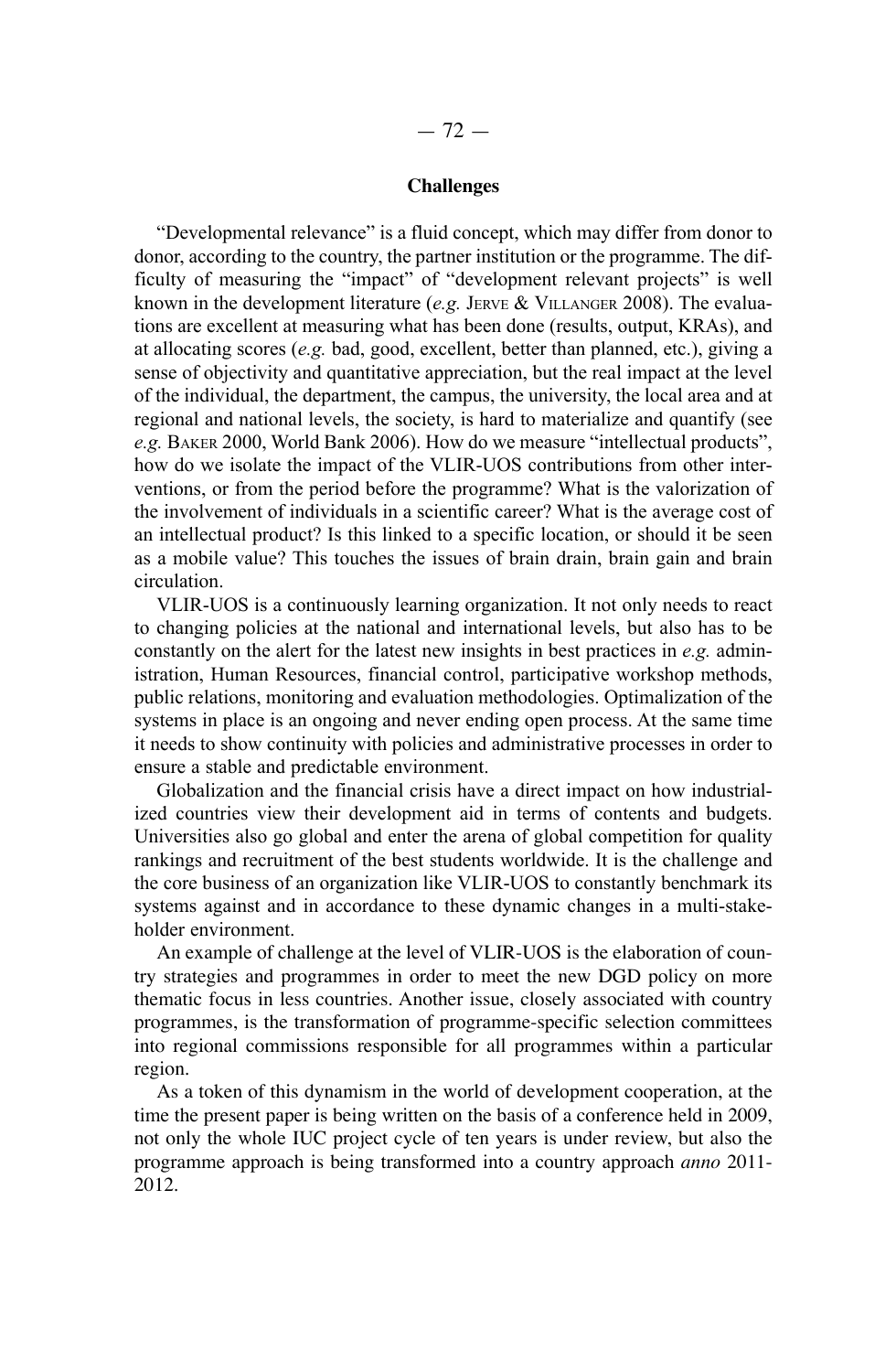#### **Challenges**

"Developmental relevance" is a fluid concept, which may differ from donor to donor, according to the country, the partner institution or the programme. The difficulty of measuring the "impact" of "development relevant projects" is well known in the development literature (*e.g.* JeRVe & VILLAnGeR 2008). The evaluations are excellent at measuring what has been done (results, output, KRAs), and at allocating scores (*e.g.* bad, good, excellent, better than planned, etc.), giving a sense of objectivity and quantitative appreciation, but the real impact at the level of the individual, the department, the campus, the university, the local area and at regional and national levels, the society, is hard to materialize and quantify (see *e.g.* BAKeR 2000, World Bank 2006). How do we measure "intellectual products", how do we isolate the impact of the VLIR-UOS contributions from other interventions, or from the period before the programme? What is the valorization of the involvement of individuals in a scientific career? What is the average cost of an intellectual product? Is this linked to a specific location, or should it be seen as a mobile value? This touches the issues of brain drain, brain gain and brain circulation.

VLIR-UOS is a continuously learning organization. It not only needs to react to changing policies at the national and international levels, but also has to be constantly on the alert for the latest new insights in best practices in *e.g.* administration, Human Resources, financial control, participative workshop methods, public relations, monitoring and evaluation methodologies. Optimalization of the systems in place is an ongoing and never ending open process. At the same time it needs to show continuity with policies and administrative processes in order to ensure a stable and predictable environment.

Globalization and the financial crisis have a direct impact on how industrialized countries view their development aid in terms of contents and budgets. Universities also go global and enter the arena of global competition for quality rankings and recruitment of the best students worldwide. It is the challenge and the core business of an organization like VLIR-UOS to constantly benchmark its systems against and in accordance to these dynamic changes in a multi-stakeholder environment.

An example of challenge at the level of vLIR-UOS is the elaboration of country strategies and programmes in order to meet the new DGD policy on more thematic focus in less countries. Another issue, closely associated with country programmes, is the transformation of programme-specific selection committees into regional commissions responsible for all programmes within a particular region.

As a token of this dynamism in the world of development cooperation, at the time the present paper is being written on the basis of a conference held in 2009, not only the whole IUC project cycle of ten years is under review, but also the programme approach is being transformed into a country approach *anno* 2011- 2012.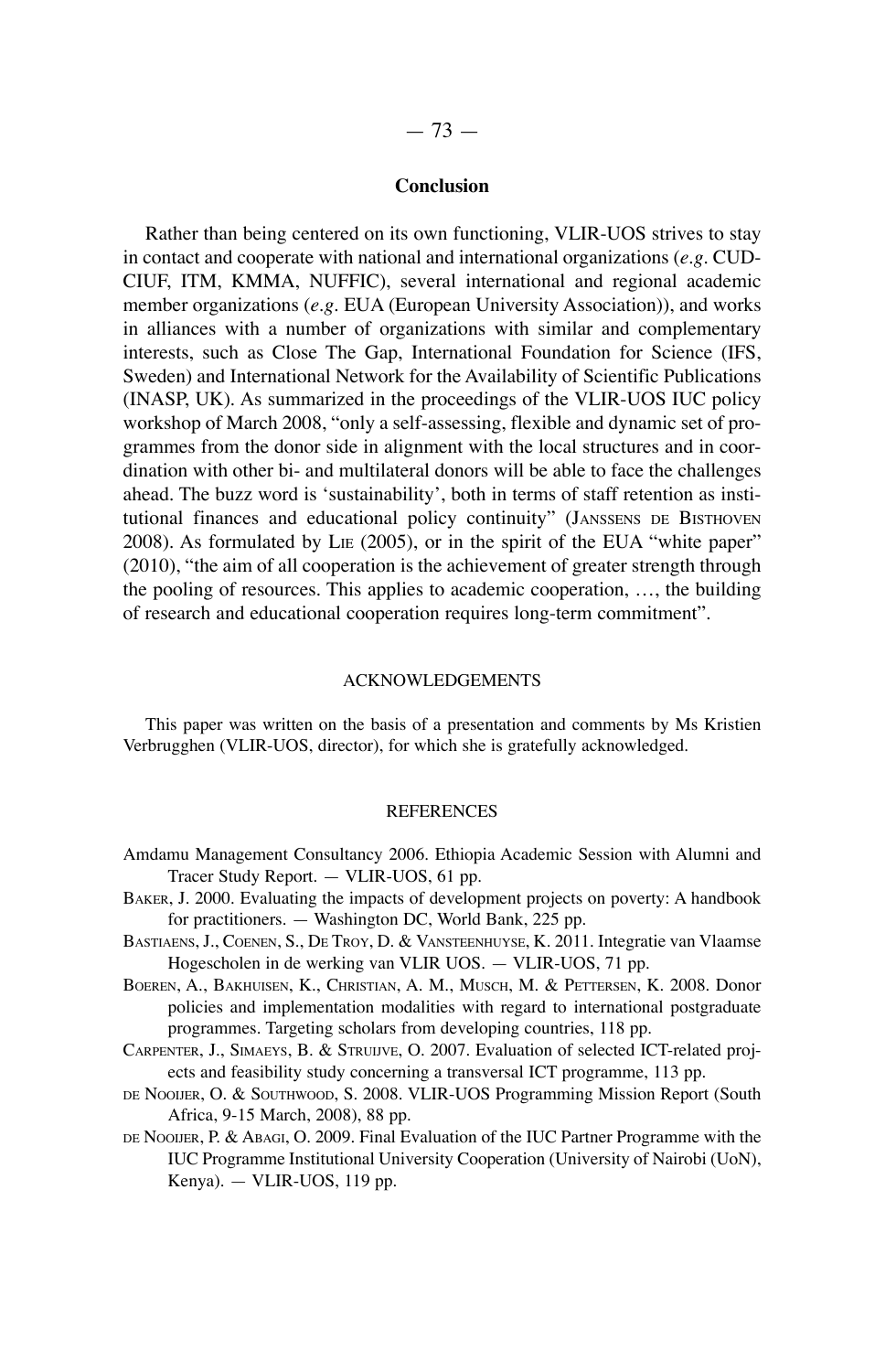# **Conclusion**

Rather than being centered on its own functioning, vLIR-UOS strives to stay in contact and cooperate with national and international organizations (*e.g.* CUD-CIUF, ITM, KMMA, NUFFIC), several international and regional academic member organizations (e.g. EUA (European University Association)), and works in alliances with a number of organizations with similar and complementary interests, such as Close The Gap, International Foundation for Science (IFS, Sweden) and International Network for the Availability of Scientific Publications (InASP, UK). As summarized in the proceedings of the vLIR-UOS IUC policy workshop of March 2008, "only a self-assessing, flexible and dynamic set of programmes from the donor side in alignment with the local structures and in coordination with other bi- and multilateral donors will be able to face the challenges ahead. The buzz word is 'sustainability', both in terms of staff retention as institutional finances and educational policy continuity" (JANSSENS DE BISTHOVEN 2008). As formulated by LIE (2005), or in the spirit of the EUA "white paper" (2010), "the aim of all cooperation is the achievement of greater strength through the pooling of resources. this applies to academic cooperation, …, the building of research and educational cooperation requires long-term commitment".

#### ACKnOwLedGementS

This paper was written on the basis of a presentation and comments by Ms Kristien verbrugghen (vLIR-UOS, director), for which she is gratefully acknowledged.

#### **REFERENCES**

- Amdamu Management Consultancy 2006. Ethiopia Academic Session with Alumni and tracer Study Report. — vLIR-UOS, 61 pp.
- BAKER, J. 2000. Evaluating the impacts of development projects on poverty: A handbook for practitioners.  $-$  Washington DC, World Bank, 225 pp.
- BASTIAENS, J., COENEN, S., DE TROY, D. & VANSTEENHUYSE, K. 2011. Integratie van Vlaamse hogescholen in de werking van vLIR UOS. — vLIR-UOS, 71 pp.
- BOEREN, A., BAKHUISEN, K., CHRISTIAN, A. M., MUSCH, M. & PETTERSEN, K. 2008. Donor policies and implementation modalities with regard to international postgraduate programmes. Targeting scholars from developing countries, 118 pp.
- CARPENTER, J., SIMAEYS, B. & STRUIJVE, O. 2007. Evaluation of selected ICT-related projects and feasibility study concerning a transversal ICT programme, 113 pp.
- DE NOOIJER, O. & SOUTHWOOD, S. 2008. VLIR-UOS Programming Mission Report (South Africa, 9-15 march, 2008), 88 pp.
- DE NOOIJER, P. & ABAGI, O. 2009. Final Evaluation of the IUC Partner Programme with the IUC Programme Institutional University Cooperation (University of nairobi (Uon), Kenya). — vLIR-UOS, 119 pp.